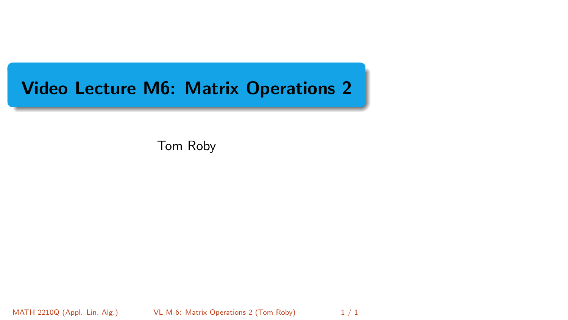# <span id="page-0-0"></span>Video Lecture M6: Matrix Operations 2

Tom Roby

MATH 2210Q (Appl. Lin. Alg.) [VL M-6: Matrix Operations 2](#page-0-0) (Tom Roby) 1 / 1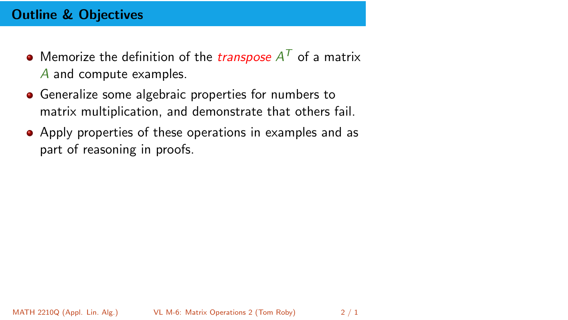## Outline & Objectives

- Memorize the definition of the *transpose A*<sup>T</sup> of a matrix A and compute examples.
- **•** Generalize some algebraic properties for numbers to matrix multiplication, and demonstrate that others fail.
- Apply properties of these operations in examples and as part of reasoning in proofs.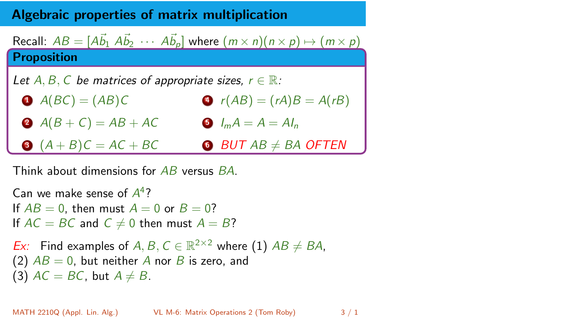#### Algebraic properties of matrix multiplication

Recall:  $AB = [A\vec{b}_1 \; A\vec{b}_2 \; \cdots \; A\vec{b}_p]$  where  $(m \times n)(n \times p) \mapsto (m \times p)$ **Proposition** Let A, B, C be matrices of appropriate sizes,  $r \in \mathbb{R}$ :  $A(BC) = (AB)C$ 2  $A(B+C) = AB + AC$  $(A + B)C = AC + BC$ 4  $r(AB) = (rA)B = A(rB)$  $\bullet$   $I_m A = A = A I_n$ **6** BUT AB  $\neq$  BA OFTEN

Think about dimensions for AB versus BA.

Can we make sense of  $A<sup>4</sup>$ ? If  $AB = 0$ , then must  $A = 0$  or  $B = 0$ ? If  $AC = BC$  and  $C \neq 0$  then must  $A = B$ ? *Ex*: Find examples of  $A, B, C \in \mathbb{R}^{2 \times 2}$  where (1)  $AB \neq BA$ , (2)  $AB = 0$ , but neither A nor B is zero, and (3)  $AC = BC$ , but  $A \neq B$ .